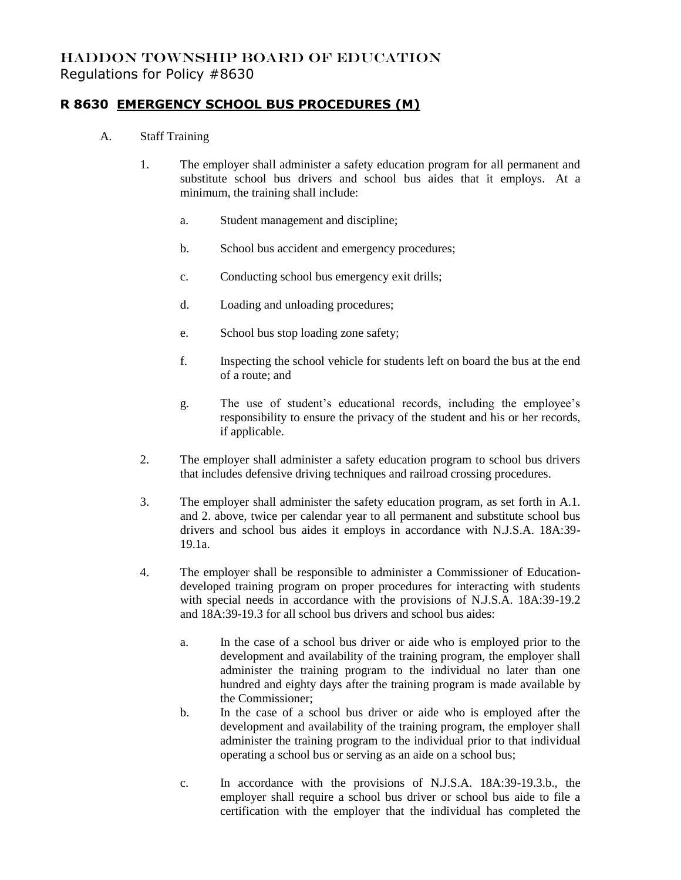## HADDON TOWNSHIP BOARD OF EDUCATION Regulations for Policy #8630

## **R 8630 EMERGENCY SCHOOL BUS PROCEDURES (M)**

- A. Staff Training
	- 1. The employer shall administer a safety education program for all permanent and substitute school bus drivers and school bus aides that it employs. At a minimum, the training shall include:
		- a. Student management and discipline;
		- b. School bus accident and emergency procedures;
		- c. Conducting school bus emergency exit drills;
		- d. Loading and unloading procedures;
		- e. School bus stop loading zone safety;
		- f. Inspecting the school vehicle for students left on board the bus at the end of a route; and
		- g. The use of student's educational records, including the employee's responsibility to ensure the privacy of the student and his or her records, if applicable.
	- 2. The employer shall administer a safety education program to school bus drivers that includes defensive driving techniques and railroad crossing procedures.
	- 3. The employer shall administer the safety education program, as set forth in A.1. and 2. above, twice per calendar year to all permanent and substitute school bus drivers and school bus aides it employs in accordance with N.J.S.A. 18A:39- 19.1a.
	- 4. The employer shall be responsible to administer a Commissioner of Educationdeveloped training program on proper procedures for interacting with students with special needs in accordance with the provisions of N.J.S.A. 18A:39-19.2 and 18A:39-19.3 for all school bus drivers and school bus aides:
		- a. In the case of a school bus driver or aide who is employed prior to the development and availability of the training program, the employer shall administer the training program to the individual no later than one hundred and eighty days after the training program is made available by the Commissioner;
		- b. In the case of a school bus driver or aide who is employed after the development and availability of the training program, the employer shall administer the training program to the individual prior to that individual operating a school bus or serving as an aide on a school bus;
		- c. In accordance with the provisions of N.J.S.A. 18A:39-19.3.b., the employer shall require a school bus driver or school bus aide to file a certification with the employer that the individual has completed the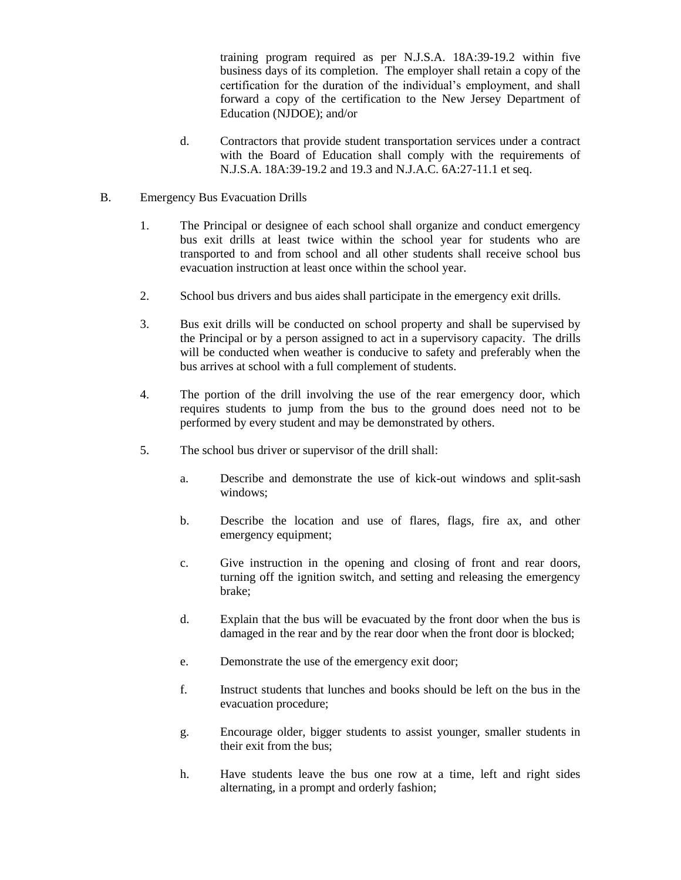training program required as per N.J.S.A. 18A:39-19.2 within five business days of its completion. The employer shall retain a copy of the certification for the duration of the individual's employment, and shall forward a copy of the certification to the New Jersey Department of Education (NJDOE); and/or

- d. Contractors that provide student transportation services under a contract with the Board of Education shall comply with the requirements of N.J.S.A. 18A:39-19.2 and 19.3 and N.J.A.C. 6A:27-11.1 et seq.
- B. Emergency Bus Evacuation Drills
	- 1. The Principal or designee of each school shall organize and conduct emergency bus exit drills at least twice within the school year for students who are transported to and from school and all other students shall receive school bus evacuation instruction at least once within the school year.
	- 2. School bus drivers and bus aides shall participate in the emergency exit drills.
	- 3. Bus exit drills will be conducted on school property and shall be supervised by the Principal or by a person assigned to act in a supervisory capacity. The drills will be conducted when weather is conducive to safety and preferably when the bus arrives at school with a full complement of students.
	- 4. The portion of the drill involving the use of the rear emergency door, which requires students to jump from the bus to the ground does need not to be performed by every student and may be demonstrated by others.
	- 5. The school bus driver or supervisor of the drill shall:
		- a. Describe and demonstrate the use of kick-out windows and split-sash windows;
		- b. Describe the location and use of flares, flags, fire ax, and other emergency equipment;
		- c. Give instruction in the opening and closing of front and rear doors, turning off the ignition switch, and setting and releasing the emergency brake;
		- d. Explain that the bus will be evacuated by the front door when the bus is damaged in the rear and by the rear door when the front door is blocked;
		- e. Demonstrate the use of the emergency exit door;
		- f. Instruct students that lunches and books should be left on the bus in the evacuation procedure;
		- g. Encourage older, bigger students to assist younger, smaller students in their exit from the bus;
		- h. Have students leave the bus one row at a time, left and right sides alternating, in a prompt and orderly fashion;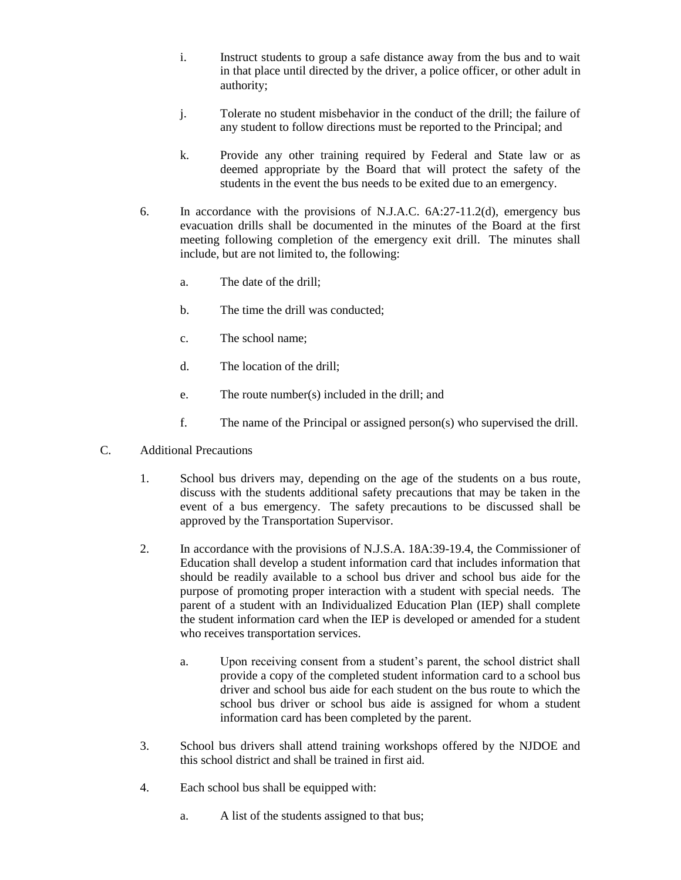- i. Instruct students to group a safe distance away from the bus and to wait in that place until directed by the driver, a police officer, or other adult in authority;
- j. Tolerate no student misbehavior in the conduct of the drill; the failure of any student to follow directions must be reported to the Principal; and
- k. Provide any other training required by Federal and State law or as deemed appropriate by the Board that will protect the safety of the students in the event the bus needs to be exited due to an emergency.
- 6. In accordance with the provisions of N.J.A.C. 6A:27-11.2(d), emergency bus evacuation drills shall be documented in the minutes of the Board at the first meeting following completion of the emergency exit drill. The minutes shall include, but are not limited to, the following:
	- a. The date of the drill;
	- b. The time the drill was conducted;
	- c. The school name;
	- d. The location of the drill;
	- e. The route number(s) included in the drill; and
	- f. The name of the Principal or assigned person(s) who supervised the drill.
- C. Additional Precautions
	- 1. School bus drivers may, depending on the age of the students on a bus route, discuss with the students additional safety precautions that may be taken in the event of a bus emergency. The safety precautions to be discussed shall be approved by the Transportation Supervisor.
	- 2. In accordance with the provisions of N.J.S.A. 18A:39-19.4, the Commissioner of Education shall develop a student information card that includes information that should be readily available to a school bus driver and school bus aide for the purpose of promoting proper interaction with a student with special needs. The parent of a student with an Individualized Education Plan (IEP) shall complete the student information card when the IEP is developed or amended for a student who receives transportation services.
		- a. Upon receiving consent from a student's parent, the school district shall provide a copy of the completed student information card to a school bus driver and school bus aide for each student on the bus route to which the school bus driver or school bus aide is assigned for whom a student information card has been completed by the parent.
	- 3. School bus drivers shall attend training workshops offered by the NJDOE and this school district and shall be trained in first aid.
	- 4. Each school bus shall be equipped with:
		- a. A list of the students assigned to that bus;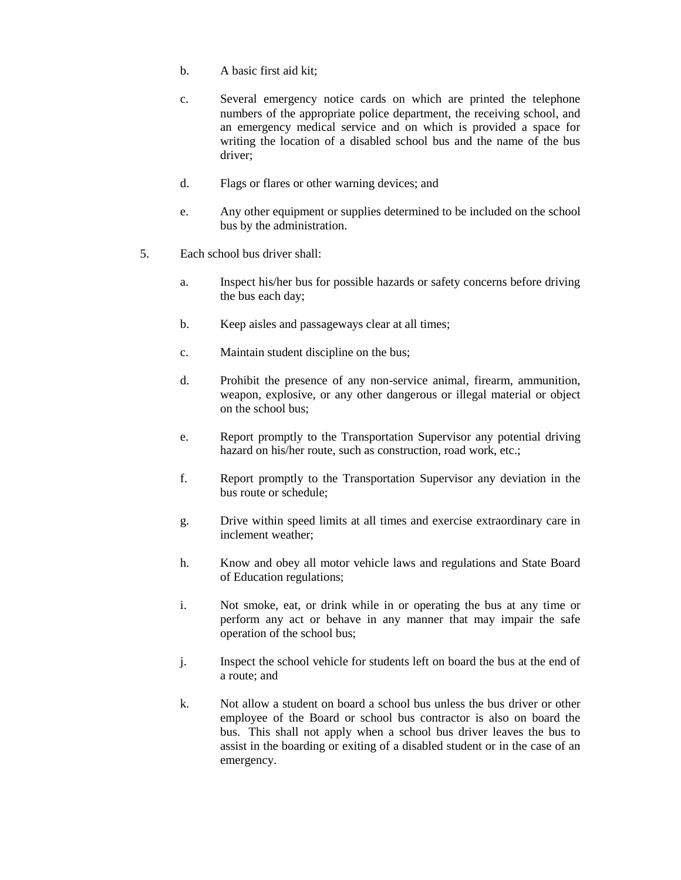- b. A basic first aid kit;
- c. Several emergency notice cards on which are printed the telephone numbers of the appropriate police department, the receiving school, and an emergency medical service and on which is provided a space for writing the location of a disabled school bus and the name of the bus driver;
- d. Flags or flares or other warning devices; and
- e. Any other equipment or supplies determined to be included on the school bus by the administration.
- 5. Each school bus driver shall:
	- a. Inspect his/her bus for possible hazards or safety concerns before driving the bus each day;
	- b. Keep aisles and passageways clear at all times;
	- c. Maintain student discipline on the bus;
	- d. Prohibit the presence of any non-service animal, firearm, ammunition, weapon, explosive, or any other dangerous or illegal material or object on the school bus;
	- e. Report promptly to the Transportation Supervisor any potential driving hazard on his/her route, such as construction, road work, etc.;
	- f. Report promptly to the Transportation Supervisor any deviation in the bus route or schedule;
	- g. Drive within speed limits at all times and exercise extraordinary care in inclement weather;
	- h. Know and obey all motor vehicle laws and regulations and State Board of Education regulations;
	- i. Not smoke, eat, or drink while in or operating the bus at any time or perform any act or behave in any manner that may impair the safe operation of the school bus;
	- j. Inspect the school vehicle for students left on board the bus at the end of a route; and
	- k. Not allow a student on board a school bus unless the bus driver or other employee of the Board or school bus contractor is also on board the bus. This shall not apply when a school bus driver leaves the bus to assist in the boarding or exiting of a disabled student or in the case of an emergency.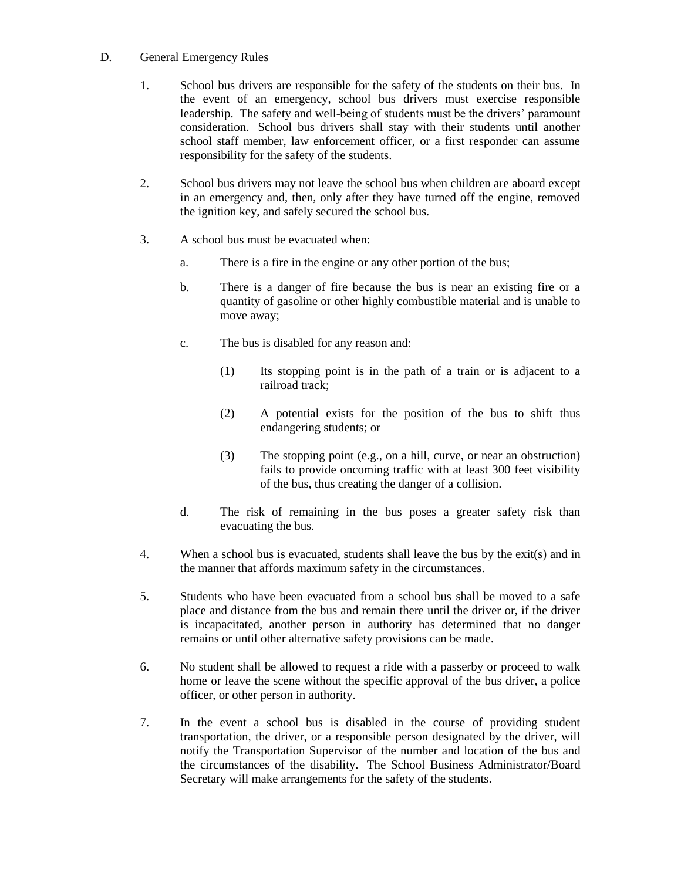## D. General Emergency Rules

- 1. School bus drivers are responsible for the safety of the students on their bus. In the event of an emergency, school bus drivers must exercise responsible leadership. The safety and well-being of students must be the drivers' paramount consideration. School bus drivers shall stay with their students until another school staff member, law enforcement officer, or a first responder can assume responsibility for the safety of the students.
- 2. School bus drivers may not leave the school bus when children are aboard except in an emergency and, then, only after they have turned off the engine, removed the ignition key, and safely secured the school bus.
- 3. A school bus must be evacuated when:
	- a. There is a fire in the engine or any other portion of the bus;
	- b. There is a danger of fire because the bus is near an existing fire or a quantity of gasoline or other highly combustible material and is unable to move away;
	- c. The bus is disabled for any reason and:
		- (1) Its stopping point is in the path of a train or is adjacent to a railroad track;
		- (2) A potential exists for the position of the bus to shift thus endangering students; or
		- (3) The stopping point (e.g., on a hill, curve, or near an obstruction) fails to provide oncoming traffic with at least 300 feet visibility of the bus, thus creating the danger of a collision.
	- d. The risk of remaining in the bus poses a greater safety risk than evacuating the bus.
- 4. When a school bus is evacuated, students shall leave the bus by the exit(s) and in the manner that affords maximum safety in the circumstances.
- 5. Students who have been evacuated from a school bus shall be moved to a safe place and distance from the bus and remain there until the driver or, if the driver is incapacitated, another person in authority has determined that no danger remains or until other alternative safety provisions can be made.
- 6. No student shall be allowed to request a ride with a passerby or proceed to walk home or leave the scene without the specific approval of the bus driver, a police officer, or other person in authority.
- 7. In the event a school bus is disabled in the course of providing student transportation, the driver, or a responsible person designated by the driver, will notify the Transportation Supervisor of the number and location of the bus and the circumstances of the disability. The School Business Administrator/Board Secretary will make arrangements for the safety of the students.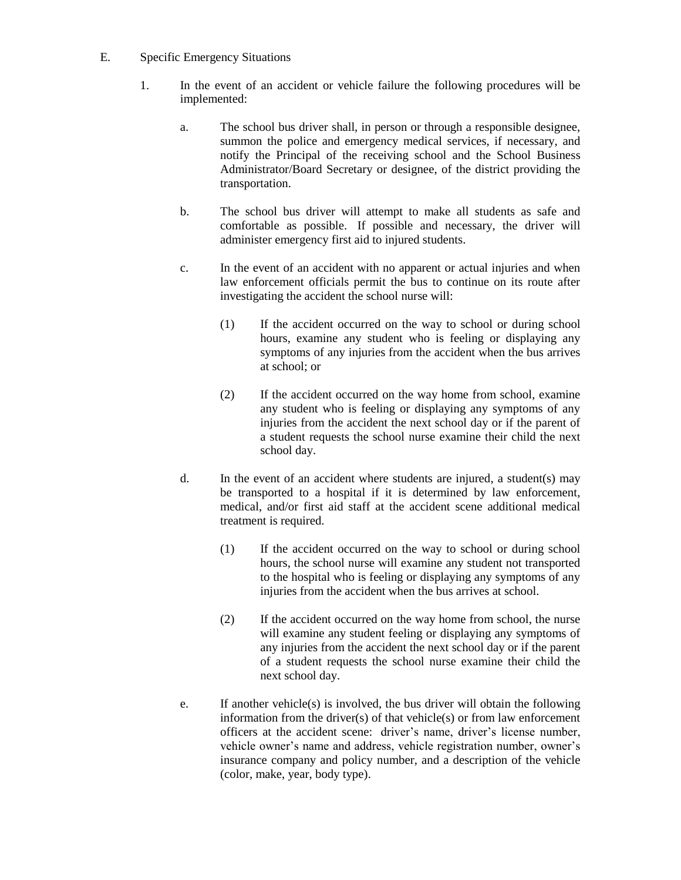- E. Specific Emergency Situations
	- 1. In the event of an accident or vehicle failure the following procedures will be implemented:
		- a. The school bus driver shall, in person or through a responsible designee, summon the police and emergency medical services, if necessary, and notify the Principal of the receiving school and the School Business Administrator/Board Secretary or designee, of the district providing the transportation.
		- b. The school bus driver will attempt to make all students as safe and comfortable as possible. If possible and necessary, the driver will administer emergency first aid to injured students.
		- c. In the event of an accident with no apparent or actual injuries and when law enforcement officials permit the bus to continue on its route after investigating the accident the school nurse will:
			- (1) If the accident occurred on the way to school or during school hours, examine any student who is feeling or displaying any symptoms of any injuries from the accident when the bus arrives at school; or
			- (2) If the accident occurred on the way home from school, examine any student who is feeling or displaying any symptoms of any injuries from the accident the next school day or if the parent of a student requests the school nurse examine their child the next school day.
		- d. In the event of an accident where students are injured, a student(s) may be transported to a hospital if it is determined by law enforcement, medical, and/or first aid staff at the accident scene additional medical treatment is required.
			- (1) If the accident occurred on the way to school or during school hours, the school nurse will examine any student not transported to the hospital who is feeling or displaying any symptoms of any injuries from the accident when the bus arrives at school.
			- (2) If the accident occurred on the way home from school, the nurse will examine any student feeling or displaying any symptoms of any injuries from the accident the next school day or if the parent of a student requests the school nurse examine their child the next school day.
		- e. If another vehicle(s) is involved, the bus driver will obtain the following information from the driver(s) of that vehicle(s) or from law enforcement officers at the accident scene: driver's name, driver's license number, vehicle owner's name and address, vehicle registration number, owner's insurance company and policy number, and a description of the vehicle (color, make, year, body type).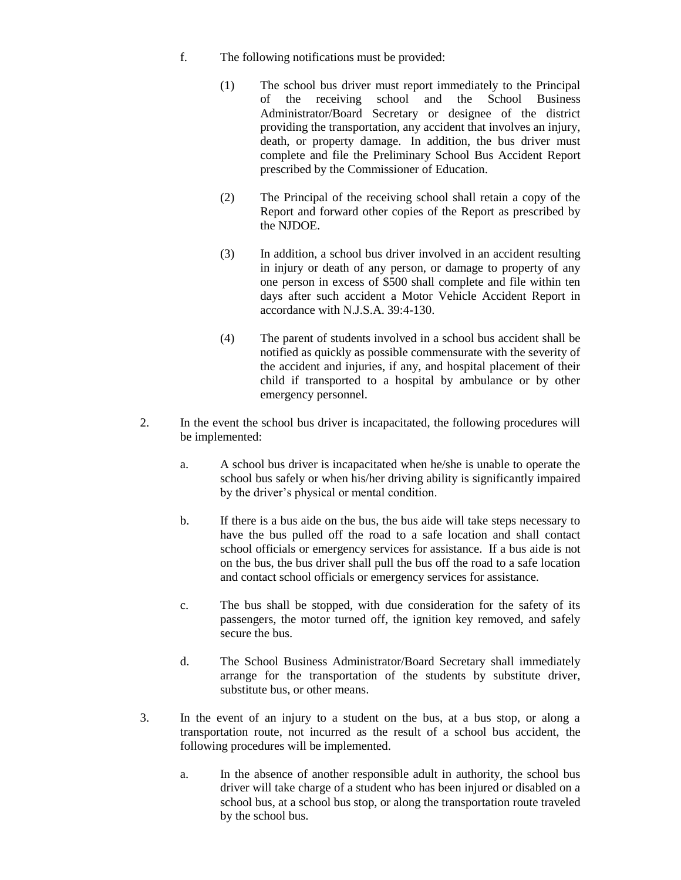- f. The following notifications must be provided:
	- (1) The school bus driver must report immediately to the Principal of the receiving school and the School Business Administrator/Board Secretary or designee of the district providing the transportation, any accident that involves an injury, death, or property damage. In addition, the bus driver must complete and file the Preliminary School Bus Accident Report prescribed by the Commissioner of Education.
	- (2) The Principal of the receiving school shall retain a copy of the Report and forward other copies of the Report as prescribed by the NJDOE.
	- (3) In addition, a school bus driver involved in an accident resulting in injury or death of any person, or damage to property of any one person in excess of \$500 shall complete and file within ten days after such accident a Motor Vehicle Accident Report in accordance with N.J.S.A. 39:4-130.
	- (4) The parent of students involved in a school bus accident shall be notified as quickly as possible commensurate with the severity of the accident and injuries, if any, and hospital placement of their child if transported to a hospital by ambulance or by other emergency personnel.
- 2. In the event the school bus driver is incapacitated, the following procedures will be implemented:
	- a. A school bus driver is incapacitated when he/she is unable to operate the school bus safely or when his/her driving ability is significantly impaired by the driver's physical or mental condition.
	- b. If there is a bus aide on the bus, the bus aide will take steps necessary to have the bus pulled off the road to a safe location and shall contact school officials or emergency services for assistance. If a bus aide is not on the bus, the bus driver shall pull the bus off the road to a safe location and contact school officials or emergency services for assistance.
	- c. The bus shall be stopped, with due consideration for the safety of its passengers, the motor turned off, the ignition key removed, and safely secure the bus.
	- d. The School Business Administrator/Board Secretary shall immediately arrange for the transportation of the students by substitute driver, substitute bus, or other means.
- 3. In the event of an injury to a student on the bus, at a bus stop, or along a transportation route, not incurred as the result of a school bus accident, the following procedures will be implemented.
	- a. In the absence of another responsible adult in authority, the school bus driver will take charge of a student who has been injured or disabled on a school bus, at a school bus stop, or along the transportation route traveled by the school bus.